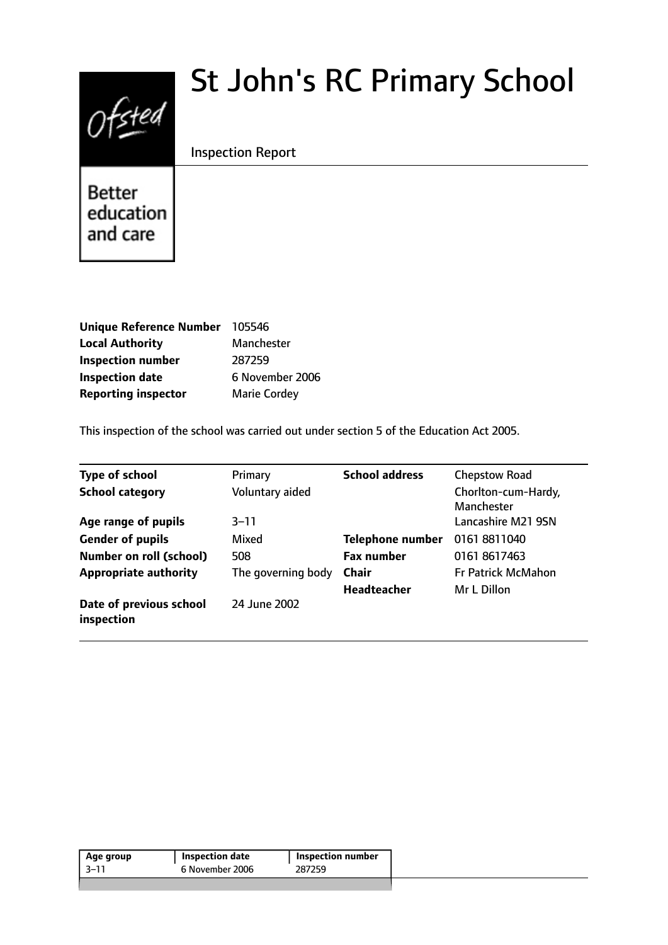# Ofsted

# St John's RC Primary School

# Inspection Report

**Better** education and care

| Unique Reference Number 105546 |                     |
|--------------------------------|---------------------|
| <b>Local Authority</b>         | Manchester          |
| <b>Inspection number</b>       | 287259              |
| <b>Inspection date</b>         | 6 November 2006     |
| <b>Reporting inspector</b>     | <b>Marie Cordey</b> |

This inspection of the school was carried out under section 5 of the Education Act 2005.

| <b>Type of school</b>                 | Primary            | <b>School address</b>   | <b>Chepstow Road</b>              |
|---------------------------------------|--------------------|-------------------------|-----------------------------------|
| <b>School category</b>                | Voluntary aided    |                         | Chorlton-cum-Hardy,<br>Manchester |
| Age range of pupils                   | $3 - 11$           |                         | Lancashire M21 9SN                |
| <b>Gender of pupils</b>               | Mixed              | <b>Telephone number</b> | 01618811040                       |
| <b>Number on roll (school)</b>        | 508                | <b>Fax number</b>       | 01618617463                       |
| <b>Appropriate authority</b>          | The governing body | <b>Chair</b>            | <b>Fr Patrick McMahon</b>         |
|                                       |                    | <b>Headteacher</b>      | Mr L Dillon                       |
| Date of previous school<br>inspection | 24 June 2002       |                         |                                   |

| 6 November 2006<br>287259<br>$-11$ | Age group | Inspection date | Inspection number |  |
|------------------------------------|-----------|-----------------|-------------------|--|
|                                    |           |                 |                   |  |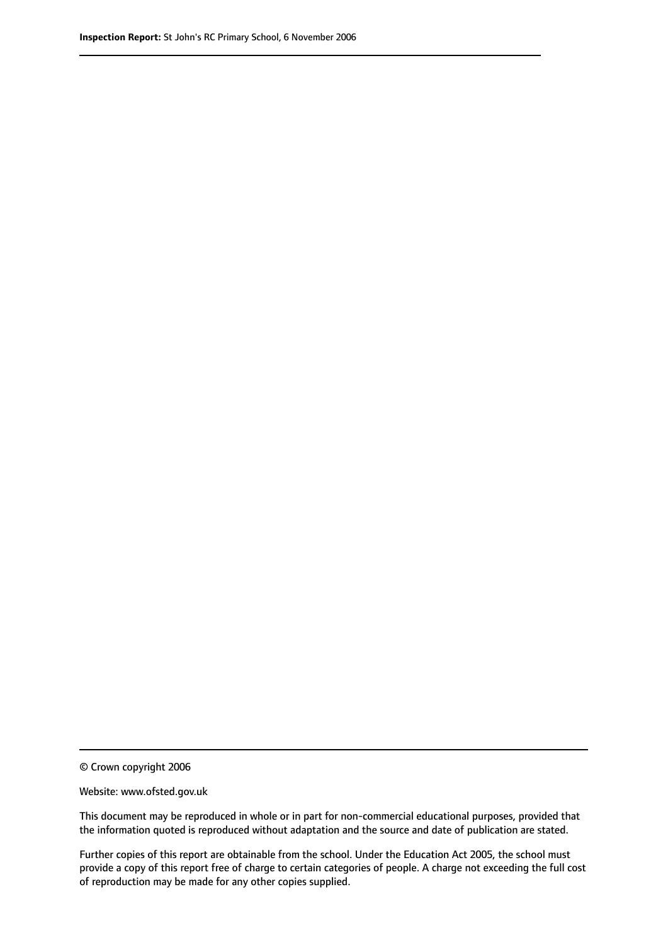© Crown copyright 2006

Website: www.ofsted.gov.uk

This document may be reproduced in whole or in part for non-commercial educational purposes, provided that the information quoted is reproduced without adaptation and the source and date of publication are stated.

Further copies of this report are obtainable from the school. Under the Education Act 2005, the school must provide a copy of this report free of charge to certain categories of people. A charge not exceeding the full cost of reproduction may be made for any other copies supplied.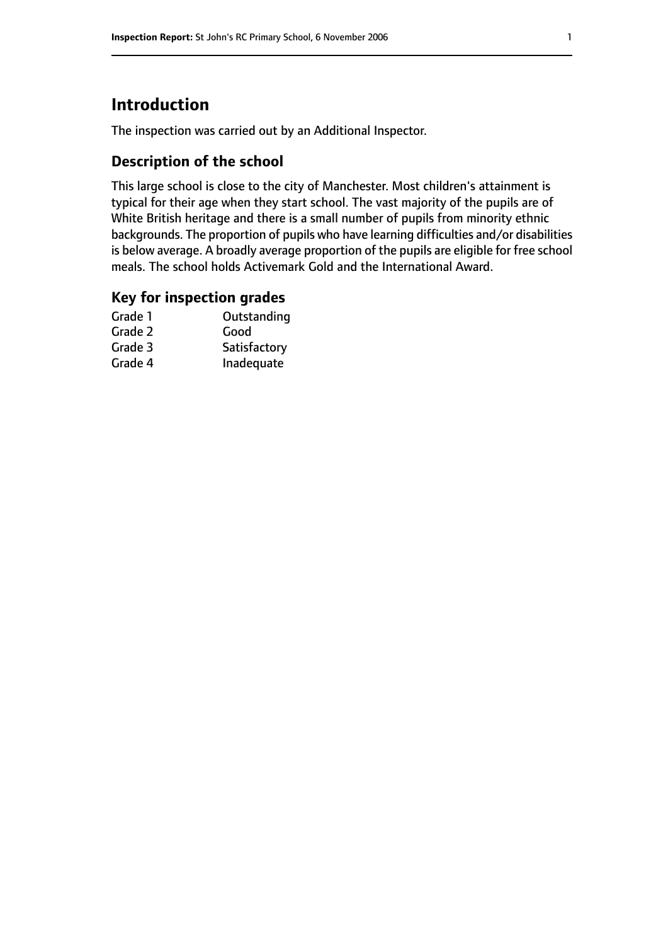# **Introduction**

The inspection was carried out by an Additional Inspector.

# **Description of the school**

This large school is close to the city of Manchester. Most children's attainment is typical for their age when they start school. The vast majority of the pupils are of White British heritage and there is a small number of pupils from minority ethnic backgrounds. The proportion of pupils who have learning difficulties and/or disabilities is below average. A broadly average proportion of the pupils are eligible for free school meals. The school holds Activemark Gold and the International Award.

#### **Key for inspection grades**

| Grade 1 | Outstanding  |
|---------|--------------|
| Grade 2 | Good         |
| Grade 3 | Satisfactory |
| Grade 4 | Inadequate   |
|         |              |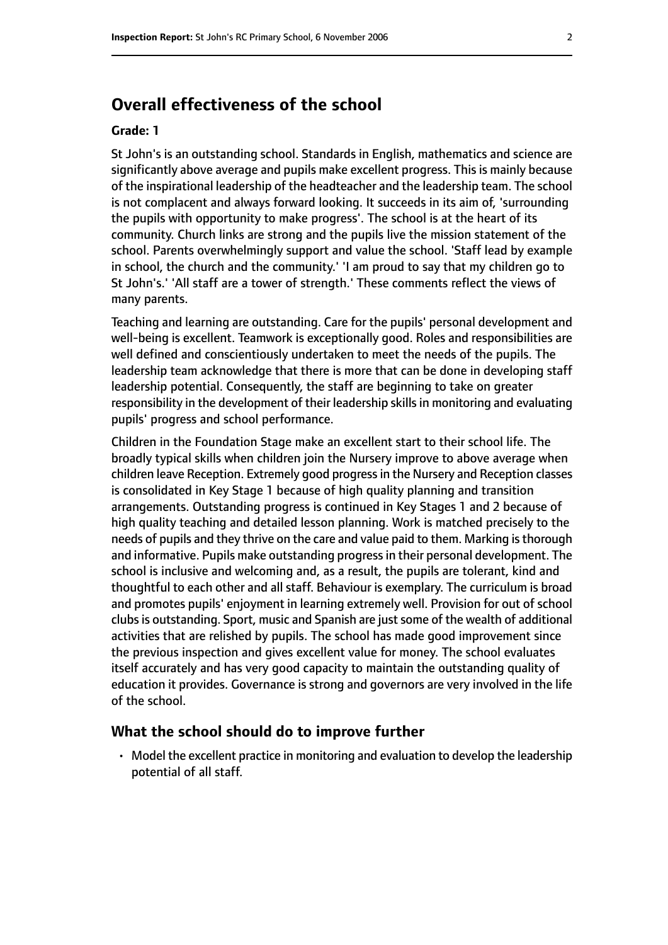# **Overall effectiveness of the school**

#### **Grade: 1**

St John's is an outstanding school. Standards in English, mathematics and science are significantly above average and pupils make excellent progress. This is mainly because of the inspirational leadership of the headteacher and the leadership team. The school is not complacent and always forward looking. It succeeds in its aim of, 'surrounding the pupils with opportunity to make progress'. The school is at the heart of its community. Church links are strong and the pupils live the mission statement of the school. Parents overwhelmingly support and value the school. 'Staff lead by example in school, the church and the community.' 'I am proud to say that my children go to St John's.' 'All staff are a tower of strength.' These comments reflect the views of many parents.

Teaching and learning are outstanding. Care for the pupils' personal development and well-being is excellent. Teamwork is exceptionally good. Roles and responsibilities are well defined and conscientiously undertaken to meet the needs of the pupils. The leadership team acknowledge that there is more that can be done in developing staff leadership potential. Consequently, the staff are beginning to take on greater responsibility in the development of their leadership skills in monitoring and evaluating pupils' progress and school performance.

Children in the Foundation Stage make an excellent start to their school life. The broadly typical skills when children join the Nursery improve to above average when children leave Reception. Extremely good progressin the Nursery and Reception classes is consolidated in Key Stage 1 because of high quality planning and transition arrangements. Outstanding progress is continued in Key Stages 1 and 2 because of high quality teaching and detailed lesson planning. Work is matched precisely to the needs of pupils and they thrive on the care and value paid to them. Marking is thorough and informative. Pupils make outstanding progressin their personal development. The school is inclusive and welcoming and, as a result, the pupils are tolerant, kind and thoughtful to each other and all staff. Behaviour is exemplary. The curriculum is broad and promotes pupils' enjoyment in learning extremely well. Provision for out of school clubs is outstanding. Sport, music and Spanish are just some of the wealth of additional activities that are relished by pupils. The school has made good improvement since the previous inspection and gives excellent value for money. The school evaluates itself accurately and has very good capacity to maintain the outstanding quality of education it provides. Governance is strong and governors are very involved in the life of the school.

#### **What the school should do to improve further**

• Model the excellent practice in monitoring and evaluation to develop the leadership potential of all staff.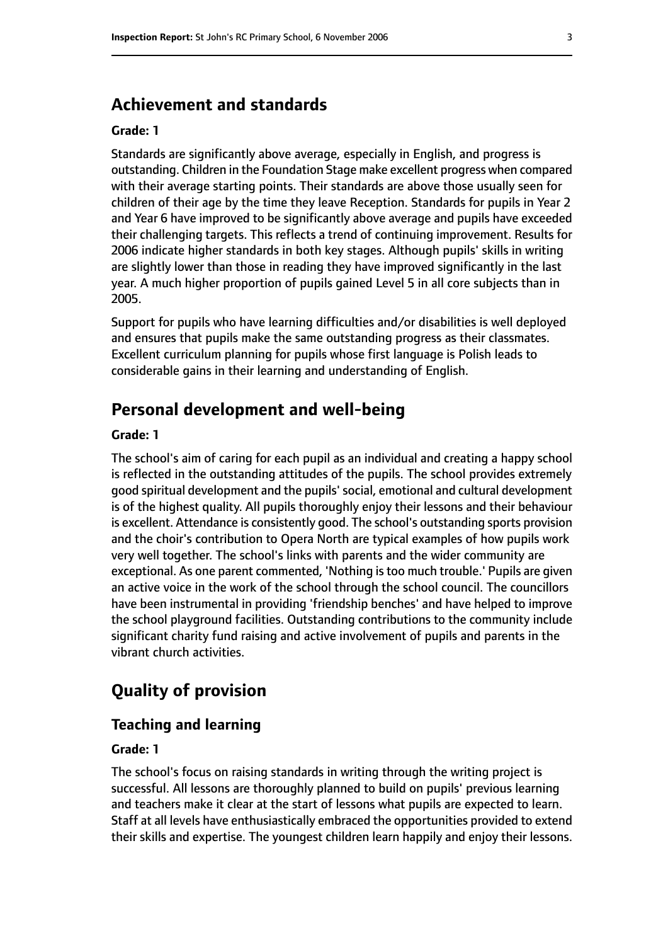# **Achievement and standards**

#### **Grade: 1**

Standards are significantly above average, especially in English, and progress is outstanding. Children in the Foundation Stage make excellent progress when compared with their average starting points. Their standards are above those usually seen for children of their age by the time they leave Reception. Standards for pupils in Year 2 and Year 6 have improved to be significantly above average and pupils have exceeded their challenging targets. This reflects a trend of continuing improvement. Results for 2006 indicate higher standards in both key stages. Although pupils' skills in writing are slightly lower than those in reading they have improved significantly in the last year. A much higher proportion of pupils gained Level 5 in all core subjects than in 2005.

Support for pupils who have learning difficulties and/or disabilities is well deployed and ensures that pupils make the same outstanding progress as their classmates. Excellent curriculum planning for pupils whose first language is Polish leads to considerable gains in their learning and understanding of English.

### **Personal development and well-being**

#### **Grade: 1**

The school's aim of caring for each pupil as an individual and creating a happy school is reflected in the outstanding attitudes of the pupils. The school provides extremely good spiritual development and the pupils'social, emotional and cultural development is of the highest quality. All pupils thoroughly enjoy their lessons and their behaviour is excellent. Attendance is consistently good. The school's outstanding sports provision and the choir's contribution to Opera North are typical examples of how pupils work very well together. The school's links with parents and the wider community are exceptional. As one parent commented, 'Nothing is too much trouble.' Pupils are given an active voice in the work of the school through the school council. The councillors have been instrumental in providing 'friendship benches' and have helped to improve the school playground facilities. Outstanding contributions to the community include significant charity fund raising and active involvement of pupils and parents in the vibrant church activities.

# **Quality of provision**

#### **Teaching and learning**

#### **Grade: 1**

The school's focus on raising standards in writing through the writing project is successful. All lessons are thoroughly planned to build on pupils' previous learning and teachers make it clear at the start of lessons what pupils are expected to learn. Staff at all levels have enthusiastically embraced the opportunities provided to extend their skills and expertise. The youngest children learn happily and enjoy their lessons.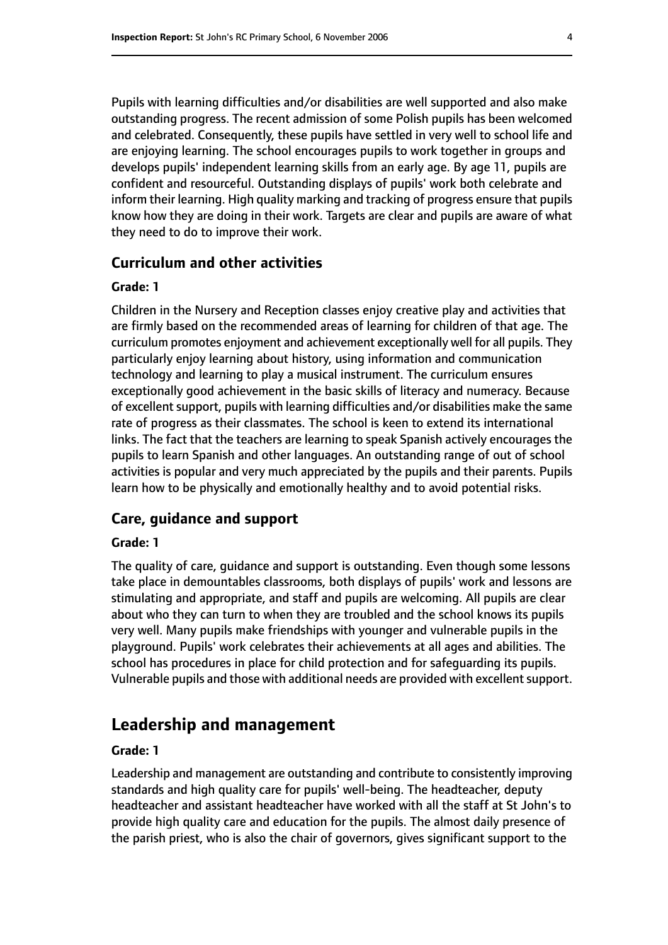Pupils with learning difficulties and/or disabilities are well supported and also make outstanding progress. The recent admission of some Polish pupils has been welcomed and celebrated. Consequently, these pupils have settled in very well to school life and are enjoying learning. The school encourages pupils to work together in groups and develops pupils' independent learning skills from an early age. By age 11, pupils are confident and resourceful. Outstanding displays of pupils' work both celebrate and inform their learning. High quality marking and tracking of progress ensure that pupils know how they are doing in their work. Targets are clear and pupils are aware of what they need to do to improve their work.

#### **Curriculum and other activities**

#### **Grade: 1**

Children in the Nursery and Reception classes enjoy creative play and activities that are firmly based on the recommended areas of learning for children of that age. The curriculum promotes enjoyment and achievement exceptionally well for all pupils. They particularly enjoy learning about history, using information and communication technology and learning to play a musical instrument. The curriculum ensures exceptionally good achievement in the basic skills of literacy and numeracy. Because of excellent support, pupils with learning difficulties and/or disabilities make the same rate of progress as their classmates. The school is keen to extend its international links. The fact that the teachers are learning to speak Spanish actively encourages the pupils to learn Spanish and other languages. An outstanding range of out of school activities is popular and very much appreciated by the pupils and their parents. Pupils learn how to be physically and emotionally healthy and to avoid potential risks.

#### **Care, guidance and support**

#### **Grade: 1**

The quality of care, guidance and support is outstanding. Even though some lessons take place in demountables classrooms, both displays of pupils' work and lessons are stimulating and appropriate, and staff and pupils are welcoming. All pupils are clear about who they can turn to when they are troubled and the school knows its pupils very well. Many pupils make friendships with younger and vulnerable pupils in the playground. Pupils' work celebrates their achievements at all ages and abilities. The school has procedures in place for child protection and for safeguarding its pupils. Vulnerable pupils and those with additional needs are provided with excellent support.

# **Leadership and management**

#### **Grade: 1**

Leadership and management are outstanding and contribute to consistently improving standards and high quality care for pupils' well-being. The headteacher, deputy headteacher and assistant headteacher have worked with all the staff at St John's to provide high quality care and education for the pupils. The almost daily presence of the parish priest, who is also the chair of governors, gives significant support to the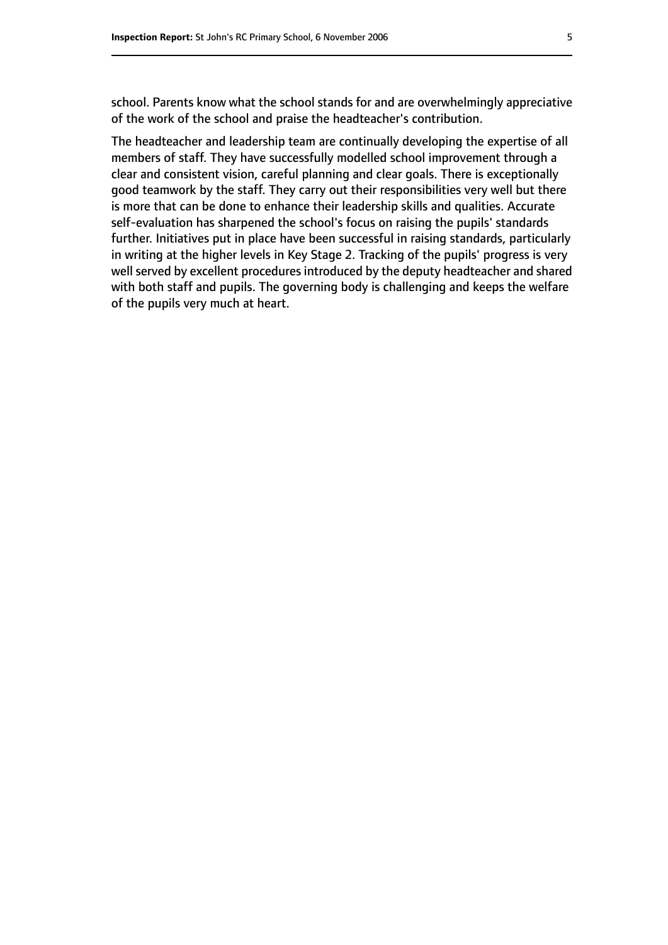school. Parents know what the school stands for and are overwhelmingly appreciative of the work of the school and praise the headteacher's contribution.

The headteacher and leadership team are continually developing the expertise of all members of staff. They have successfully modelled school improvement through a clear and consistent vision, careful planning and clear goals. There is exceptionally good teamwork by the staff. They carry out their responsibilities very well but there is more that can be done to enhance their leadership skills and qualities. Accurate self-evaluation has sharpened the school's focus on raising the pupils' standards further. Initiatives put in place have been successful in raising standards, particularly in writing at the higher levels in Key Stage 2. Tracking of the pupils' progress is very well served by excellent procedures introduced by the deputy headteacher and shared with both staff and pupils. The governing body is challenging and keeps the welfare of the pupils very much at heart.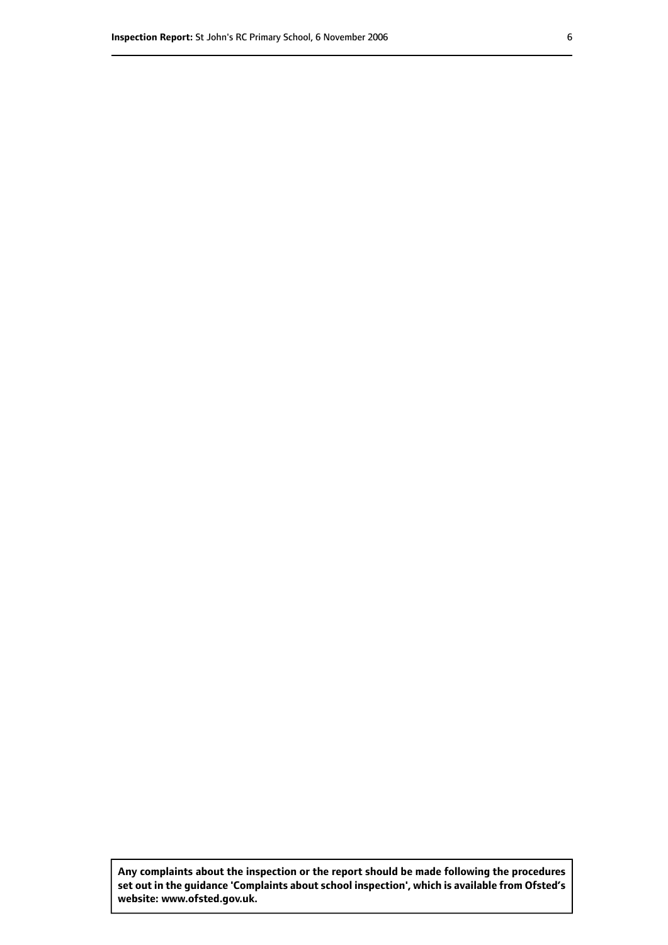**Any complaints about the inspection or the report should be made following the procedures set out inthe guidance 'Complaints about school inspection', whichis available from Ofsted's website: www.ofsted.gov.uk.**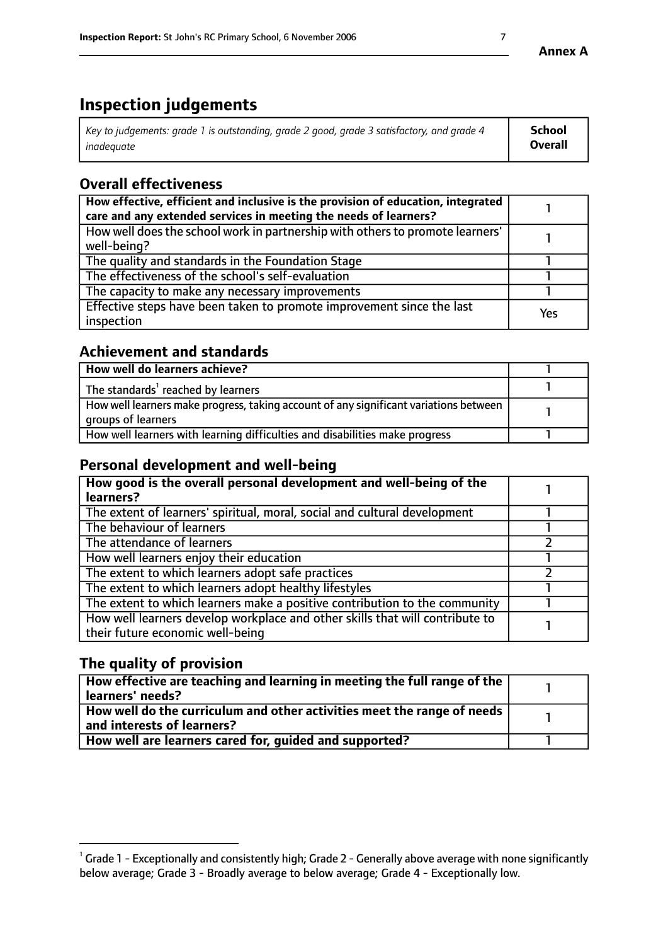# **Inspection judgements**

| Key to judgements: grade 1 is outstanding, grade 2 good, grade 3 satisfactory, and grade 4 | <b>School</b>  |
|--------------------------------------------------------------------------------------------|----------------|
| inadeauate                                                                                 | <b>Overall</b> |

# **Overall effectiveness**

| How effective, efficient and inclusive is the provision of education, integrated<br>care and any extended services in meeting the needs of learners? |     |
|------------------------------------------------------------------------------------------------------------------------------------------------------|-----|
| How well does the school work in partnership with others to promote learners'<br>well-being?                                                         |     |
| The quality and standards in the Foundation Stage                                                                                                    |     |
| The effectiveness of the school's self-evaluation                                                                                                    |     |
| The capacity to make any necessary improvements                                                                                                      |     |
| Effective steps have been taken to promote improvement since the last<br>inspection                                                                  | Yes |

# **Achievement and standards**

| How well do learners achieve?                                                                               |  |
|-------------------------------------------------------------------------------------------------------------|--|
| The standards <sup>1</sup> reached by learners                                                              |  |
| How well learners make progress, taking account of any significant variations between<br>groups of learners |  |
| How well learners with learning difficulties and disabilities make progress                                 |  |

# **Personal development and well-being**

| How good is the overall personal development and well-being of the<br>learners?                                  |  |
|------------------------------------------------------------------------------------------------------------------|--|
| The extent of learners' spiritual, moral, social and cultural development                                        |  |
| The behaviour of learners                                                                                        |  |
| The attendance of learners                                                                                       |  |
| How well learners enjoy their education                                                                          |  |
| The extent to which learners adopt safe practices                                                                |  |
| The extent to which learners adopt healthy lifestyles                                                            |  |
| The extent to which learners make a positive contribution to the community                                       |  |
| How well learners develop workplace and other skills that will contribute to<br>their future economic well-being |  |

# **The quality of provision**

| How effective are teaching and learning in meeting the full range of the<br>  learners' needs?                      |  |
|---------------------------------------------------------------------------------------------------------------------|--|
| $\mid$ How well do the curriculum and other activities meet the range of needs<br>$\mid$ and interests of learners? |  |
| How well are learners cared for, guided and supported?                                                              |  |

 $^1$  Grade 1 - Exceptionally and consistently high; Grade 2 - Generally above average with none significantly below average; Grade 3 - Broadly average to below average; Grade 4 - Exceptionally low.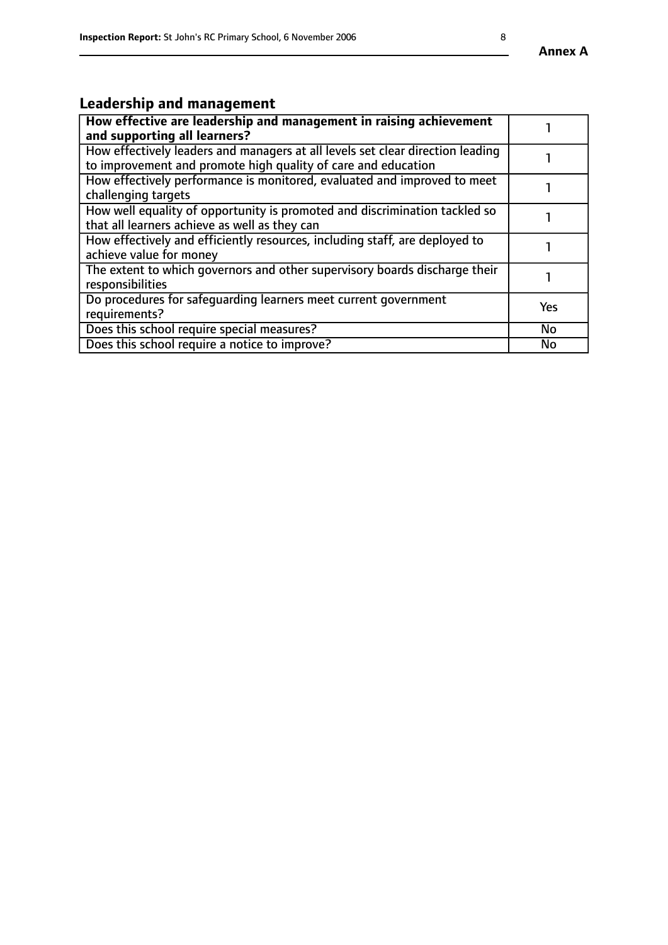# **Leadership and management**

| How effective are leadership and management in raising achievement<br>and supporting all learners?                                              |           |
|-------------------------------------------------------------------------------------------------------------------------------------------------|-----------|
| How effectively leaders and managers at all levels set clear direction leading<br>to improvement and promote high quality of care and education |           |
| How effectively performance is monitored, evaluated and improved to meet<br>challenging targets                                                 |           |
| How well equality of opportunity is promoted and discrimination tackled so<br>that all learners achieve as well as they can                     |           |
| How effectively and efficiently resources, including staff, are deployed to<br>achieve value for money                                          |           |
| The extent to which governors and other supervisory boards discharge their<br>responsibilities                                                  |           |
| Do procedures for safequarding learners meet current government<br>requirements?                                                                | Yes       |
| Does this school require special measures?                                                                                                      | <b>No</b> |
| Does this school require a notice to improve?                                                                                                   | No        |